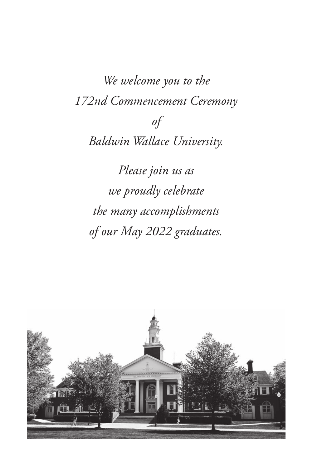*We welcome you to the 172nd Commencement Ceremony of Baldwin Wallace University. Please join us as we proudly celebrate* 

*the many accomplishments of our May 2022 graduates.* 

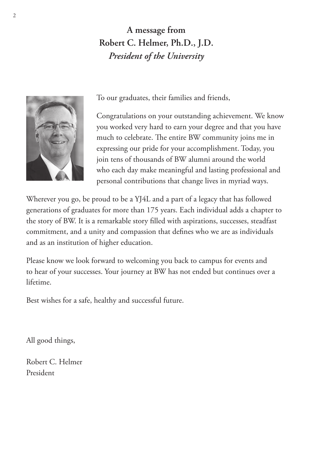**A message from Robert C. Helmer, Ph.D., J.D.** *President of the University*



To our graduates, their families and friends,

Congratulations on your outstanding achievement. We know you worked very hard to earn your degree and that you have much to celebrate. The entire BW community joins me in expressing our pride for your accomplishment. Today, you join tens of thousands of BW alumni around the world who each day make meaningful and lasting professional and personal contributions that change lives in myriad ways.

Wherever you go, be proud to be a YJ4L and a part of a legacy that has followed generations of graduates for more than 175 years. Each individual adds a chapter to the story of BW. It is a remarkable story filled with aspirations, successes, steadfast commitment, and a unity and compassion that defines who we are as individuals and as an institution of higher education.

Please know we look forward to welcoming you back to campus for events and to hear of your successes. Your journey at BW has not ended but continues over a lifetime.

Best wishes for a safe, healthy and successful future.

All good things,

Robert C. Helmer President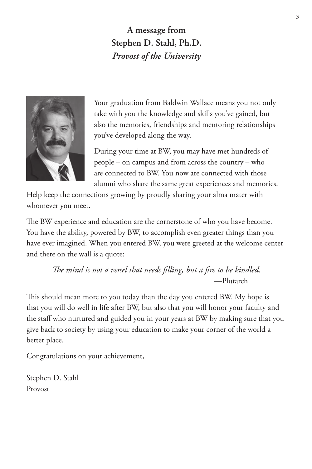**A message from Stephen D. Stahl, Ph.D.** *Provost of the University*



Your graduation from Baldwin Wallace means you not only take with you the knowledge and skills you've gained, but also the memories, friendships and mentoring relationships you've developed along the way.

During your time at BW, you may have met hundreds of people – on campus and from across the country – who are connected to BW. You now are connected with those alumni who share the same great experiences and memories.

Help keep the connections growing by proudly sharing your alma mater with whomever you meet.

The BW experience and education are the cornerstone of who you have become. You have the ability, powered by BW, to accomplish even greater things than you have ever imagined. When you entered BW, you were greeted at the welcome center and there on the wall is a quote:

> *The mind is not a vessel that needs filling, but a fire to be kindled.*  —Plutarch

This should mean more to you today than the day you entered BW. My hope is that you will do well in life after BW, but also that you will honor your faculty and the staff who nurtured and guided you in your years at BW by making sure that you give back to society by using your education to make your corner of the world a better place.

Congratulations on your achievement,

Stephen D. Stahl Provost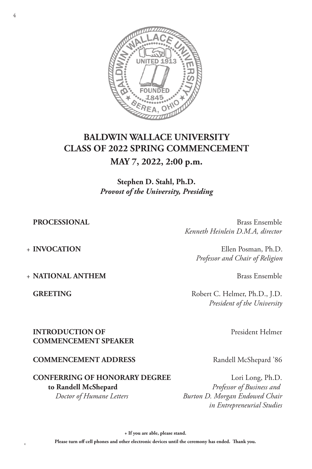

# **BALDWIN WALLACE UNIVERSITY CLASS OF 2022 SPRING COMMENCEMENT MAY 7, 2022, 2:00 p.m.**

**Stephen D. Stahl, Ph.D.** *Provost of the University, Presiding*

**PROCESSIONAL** Brass Ensemble *Kenneth Heinlein D.M.A, director*

+ **INVOCATION** Ellen Posman, Ph.D. *Professor and Chair of Religion*

+ **NATIONAL ANTHEM** Brass Ensemble

GREETING Robert C. Helmer, Ph.D., J.D. *President of the University*

**INTRODUCTION OF**  President Helmer **COMMENCEMENT SPEAKER**

#### **COMMENCEMENT ADDRESS** Randell McShepard '86

#### **CONFERRING OF HONORARY DEGREE** Lori Long, Ph.D. **to Randell McShepard** *Professor of Business and Doctor of Humane Letters Burton D. Morgan Endowed Chair*

 *in Entrepreneurial Studies*

**+ If you are able, please stand.**

Please turn off cell phones and other electronic devices until the ceremony has ended. Thank you.<br>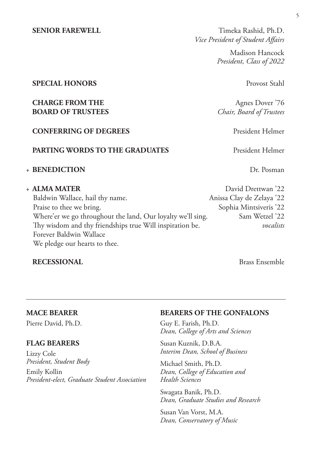**SENIOR FAREWELL** Timeka Rashid, Ph.D. *Vice President of Student Affairs*

> Madison Hancock *President, Class of 2022*

#### **SPECIAL HONORS** Provost Stahl

#### **CHARGE FROM THE** Agnes Dover '76  **BOARD OF TRUSTEES** *Chair, Board of Trustees*

#### **CONFERRING OF DEGREES** President Helmer

#### **PARTING WORDS TO THE GRADUATES** President Helmer

#### + **BENEDICTION** Dr. Posman

Baldwin Wallace, hail thy name. Anissa Clay de Zelaya '22 Praise to thee we bring. The state of the Sophia Mintsiveris '22 Where'er we go throughout the land, Our loyalty we'll sing. Sam Wetzel '22 Thy wisdom and thy friendships true Will inspiration be. *vocalists* Forever Baldwin Wallace We pledge our hearts to thee.

#### **RECESSIONAL** Brass Ensemble

+ **ALMA MATER** David Drettwan '22

#### **MACE BEARER**

Pierre David, Ph.D.

#### **FLAG BEARERS**

Lizzy Cole *President, Student Body* Emily Kollin *President-elect, Graduate Student Association*

#### **BEARERS OF THE GONFALONS**

Guy E. Farish, Ph.D. *Dean, College of Arts and Sciences*

Susan Kuznik, D.B.A. *Interim Dean, School of Business*

Michael Smith, Ph.D. *Dean, College of Education and Health Sciences*

Swagata Banik, Ph.D. *Dean, Graduate Studies and Research*

Susan Van Vorst, M.A. *Dean, Conservatory of Music*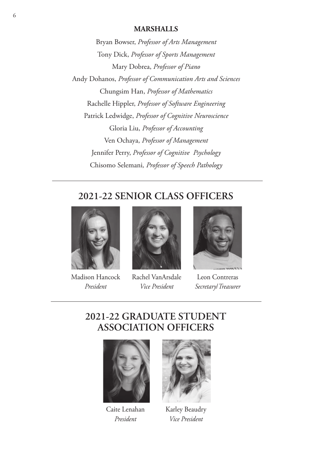#### **MARSHALLS**

Bryan Bowser, *Professor of Arts Management* Tony Dick, *Professor of Sports Management* Mary Dobrea, *Professor of Piano* Andy Dohanos, *Professor of Communication Arts and Sciences* Chungsim Han, *Professor of Mathematics* Rachelle Hippler, *Professor of Software Engineering* Patrick Ledwidge, *Professor of Cognitive Neuroscience* Gloria Liu, *Professor of Accounting* Ven Ochaya, *Professor of Management* Jennifer Perry, *Professor of Cognitive Psychology* Chisomo Selemani*, Professor of Speech Pathology*

# **2021-22 SENIOR CLASS OFFICERS**



Madison Hancock *President*



Rachel VanArsdale *Vice President*



Leon Contreras *Secretary*/*Treasurer*

# **2021-22 GRADUATE STUDENT ASSOCIATION OFFICERS**



Caite Lenahan *President*



Karley Beaudry *Vice President*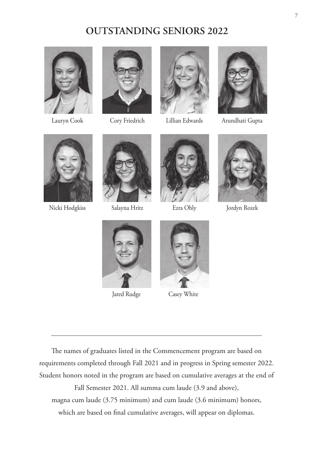# **OUTSTANDING SENIORS 2022**









Lauryn Cook Cory Friedrich Lillian Edwards Arundhati Gupta





Nicki Hodgkiss Salayna Hritz Ezra Ohly Jordyn Rozek







**Jared Rudge Casey White** 



The names of graduates listed in the Commencement program are based on requirements completed through Fall 2021 and in progress in Spring semester 2022. Student honors noted in the program are based on cumulative averages at the end of Fall Semester 2021. All summa cum laude (3.9 and above), magna cum laude (3.75 minimum) and cum laude (3.6 minimum) honors, which are based on final cumulative averages, will appear on diplomas.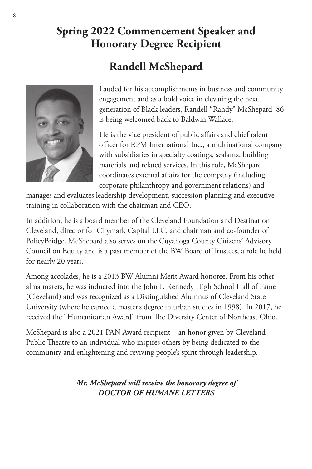# **Spring 2022 Commencement Speaker and Honorary Degree Recipient**

# **Randell McShepard**



Lauded for his accomplishments in business and community engagement and as a bold voice in elevating the next generation of Black leaders, Randell "Randy" McShepard '86 is being welcomed back to Baldwin Wallace.

He is the vice president of public affairs and chief talent officer for RPM International Inc., a multinational company with subsidiaries in specialty coatings, sealants, building materials and related services. In this role, McShepard coordinates external affairs for the company (including corporate philanthropy and government relations) and

manages and evaluates leadership development, succession planning and executive training in collaboration with the chairman and CEO.

In addition, he is a board member of the Cleveland Foundation and Destination Cleveland, director for Citymark Capital LLC, and chairman and co-founder of PolicyBridge. McShepard also serves on the Cuyahoga County Citizens' Advisory Council on Equity and is a past member of the BW Board of Trustees, a role he held for nearly 20 years.

Among accolades, he is a 2013 BW Alumni Merit Award honoree. From his other alma maters, he was inducted into the John F. Kennedy High School Hall of Fame (Cleveland) and was recognized as a Distinguished Alumnus of Cleveland State University (where he earned a master's degree in urban studies in 1998). In 2017, he received the "Humanitarian Award" from The Diversity Center of Northeast Ohio.

McShepard is also a 2021 PAN Award recipient – an honor given by Cleveland Public Theatre to an individual who inspires others by being dedicated to the community and enlightening and reviving people's spirit through leadership.

> *Mr. McShepard will receive the honorary degree of DOCTOR OF HUMANE LETTERS*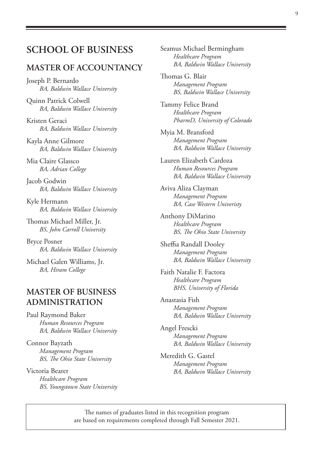# **SCHOOL OF BUSINESS**

#### **MASTER OF ACCOUNTANCY**

Joseph P. Bernardo *BA, Baldwin Wallace University*

Quinn Patrick Colwell *BA, Baldwin Wallace University*

Kristen Geraci *BA, Baldwin Wallace University*

Kayla Anne Gilmore *BA, Baldwin Wallace University*

Mia Claire Glassco *BA, Adrian College*

Jacob Godwin *BA, Baldwin Wallace University*

Kyle Hermann *BA, Baldwin Wallace University*

Thomas Michael Miller, Jr. *BS, John Carroll University*

Bryce Posner *BA, Baldwin Wallace University*

Michael Galen Williams, Jr. *BA, Hiram College*

### **MASTER OF BUSINESS ADMINISTRATION**

Paul Raymond Baker *Human Resources Program BA, Baldwin Wallace University*

Connor Bayzath *Management Program BS, The Ohio State University*

Victoria Bearer *Healthcare Program BS, Youngstown State University* Seamus Michael Bermingham *Healthcare Program BA, Baldwin Wallace University*

Thomas G. Blair *Management Program BS, Baldwin Wallace University*

Tammy Felice Brand *Healthcare Program PharmD, University of Colorado*

Myia M. Bransford *Management Program BA, Baldwin Wallace University*

Lauren Elizabeth Cardoza *Human Resources Program BA, Baldwin Wallace University*

Aviva Aliza Clayman *Management Program BA, Case Western Univeristy*

Anthony DiMarino *Healthcare Program BS, The Ohio State University*

Sheffia Randall Dooley *Management Program BA, Baldwin Wallace University*

Faith Natalie F. Factora *Healthcare Program BHS, University of Florida*

Anastasia Fish *Management Program BA, Baldwin Wallace University*

Angel Frescki *Management Program BA, Baldwin Wallace University*

Meredith G. Gastel *Management Program BA, Baldwin Wallace University*

The names of graduates listed in this recognition program are based on requirements completed through Fall Semester 2021.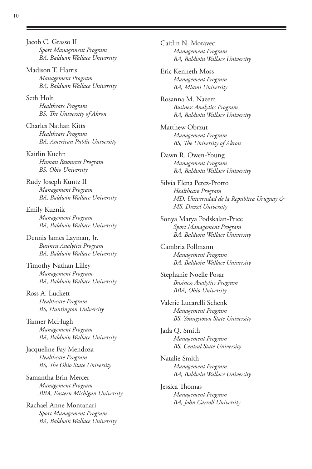Jacob C. Grasso II *Sport Management Program BA, Baldwin Wallace University*

Madison T. Harris *Management Program BA, Baldwin Wallace University*

Seth Holt *Healthcare Program BS, The University of Akron*

Charles Nathan Kitts *Healthcare Program BA, American Public University*

Kaitlin Kuehn *Human Resources Program BS, Ohio University*

Rudy Joseph Kuntz II *Management Program BA, Baldwin Wallace University*

Emily Kuznik *Management Program BA, Baldwin Wallace University*

Dennis James Layman, Jr. *Business Analytics Program BA, Baldwin Wallace University*

Timothy Nathan Lilley *Management Program BA, Baldwin Wallace University*

Ross A. Luckett *Healthcare Program BS, Huntington University*

Tanner McHugh *Management Program BA, Baldwin Wallace University*

Jacqueline Fay Mendoza *Healthcare Program BS, The Ohio State University*

Samantha Erin Mercer *Management Program BBA, Eastern Michigan University*

Rachael Anne Montanari *Sport Management Program BA, Baldwin Wallace University* Caitlin N. Moravec *Management Program BA, Baldwin Wallace University*

Eric Kenneth Moss *Management Program BA, Miami University*

Rosanna M. Naeem *Business Analytics Program BA, Baldwin Wallace University*

Matthew Obrzut *Management Program BS, The University of Akron*

Dawn R. Owen-Young *Management Program BA, Baldwin Wallace University*

Silvia Elena Perez-Protto *Healthcare Program MD, Universidad de la Republica Uruguay & MS, Drexel University*

Sonya Marya Podskalan-Price *Sport Management Program BA, Baldwin Wallace University*

Cambria Pollmann *Management Program BA, Baldwin Wallace University*

Stephanie Noelle Posar *Business Analytics Program BBA, Ohio University*

Valerie Lucarelli Schenk *Management Program BS, Youngstown State University*

Jada Q. Smith *Management Program BS, Central State University*

Natalie Smith *Management Program BA, Baldwin Wallace University*

Jessica Thomas *Management Program BA, John Carroll University*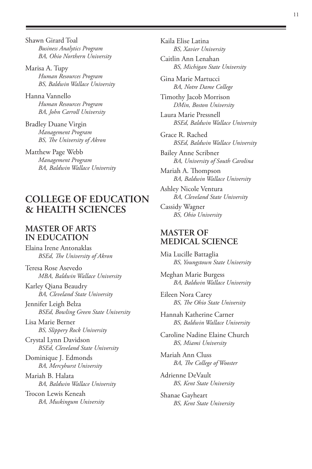Shawn Girard Toal *Business Analytics Program BA, Ohio Northern University*

Marisa A. Tupy *Human Resources Program BS, Baldwin Wallace University*

Hanna Vannello *Human Resources Program BA, John Carroll University*

Bradley Duane Virgin *Management Program BS, The University of Akron*

Matthew Page Webb *Management Program BA, Baldwin Wallace University*

# **COLLEGE OF EDUCATION & HEALTH SCIENCES**

#### **MASTER OF ARTS IN EDUCATION**

Elaina Irene Antonaklas *BSEd, The University of Akron*

Teresa Rose Asevedo *MBA, Baldwin Wallace University*

Karley Qiana Beaudry *BA, Cleveland State University*

Jennifer Leigh Belza *BSEd, Bowling Green State University*

Lisa Marie Berner *BS, Slippery Rock University*

Crystal Lynn Davidson *BSEd, Cleveland State University*

Dominique J. Edmonds *BA, Mercyhurst University*

Mariah B. Halata *BA, Baldwin Wallace University*

Trocon Lewis Keneah *BA, Muskingum University* Kaila Elise Latina *BS, Xavier University*

Caitlin Ann Lenahan *BS, Michigan State University*

Gina Marie Martucci *BA, Notre Dame College*

Timothy Jacob Morrison *DMin, Boston University*

Laura Marie Pressnell *BSEd, Baldwin Wallace University*

Grace R. Rached *BSEd, Baldwin Wallace University*

Bailey Anne Scribner *BA, University of South Carolina*

Mariah A. Thompson *BA, Baldwin Wallace University*

Ashley Nicole Ventura *BA, Cleveland State University*

Cassidy Wagner *BS, Ohio University*

#### **MASTER OF MEDICAL SCIENCE**

Mia Lucille Battaglia *BS, Youngstown State University*

Meghan Marie Burgess *BA, Baldwin Wallace University*

Eileen Nora Carey *BS, The Ohio State University*

Hannah Katherine Carner *BS, Baldwin Wallace University*

Caroline Nadine Elaine Church *BS, Miami University*

Mariah Ann Cluss *BA, The College of Wooster*

Adrienne DeVault *BS, Kent State University*

Shanae Gayheart *BS, Kent State University*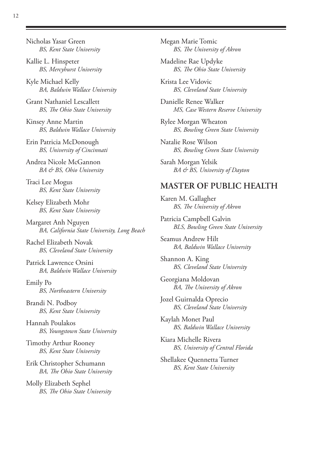Kallie L. Hinspeter *BS, Mercyhurst University*

Kyle Michael Kelly *BA, Baldwin Wallace University*

Grant Nathaniel Lescallett *BS, The Ohio State University*

Kinsey Anne Martin *BS, Baldwin Wallace University*

Erin Patricia McDonough *BS, University of Cincinnati*

Andrea Nicole McGannon *BA & BS, Ohio University*

Traci Lee Mogus *BS, Kent State University*

Kelsey Elizabeth Mohr *BS, Kent State University*

Margaret Anh Nguyen *BA, California State University, Long Beach*

Rachel Elizabeth Novak *BS, Cleveland State University*

Patrick Lawrence Orsini *BA, Baldwin Wallace University*

Emily Po *BS, Northeastern University*

Brandi N. Podboy *BS, Kent State University*

Hannah Poulakos *BS, Youngstown State University*

Timothy Arthur Rooney *BS, Kent State University*

Erik Christopher Schumann *BA, The Ohio State University*

Molly Elizabeth Sephel *BS, The Ohio State University* Megan Marie Tomic *BS, The University of Akron*

Madeline Rae Updyke *BS, The Ohio State University*

Krista Lee Vidovic *BS, Cleveland State University*

Danielle Renee Walker *MS, Case Western Reserve University*

Rylee Morgan Wheaton *BS, Bowling Green State University*

Natalie Rose Wilson *BS, Bowling Green State University*

Sarah Morgan Yelsik *BA & BS, University of Dayton*

#### **MASTER OF PUBLIC HEALTH**

Karen M. Gallagher *BS, The University of Akron*

Patricia Campbell Galvin *BLS, Bowling Green State University*

Seamus Andrew Hilt *BA, Baldwin Wallace University*

Shannon A. King *BS, Cleveland State University*

Georgiana Moldovan *BA, The University of Akron*

Jozel Guirnalda Oprecio *BS, Cleveland State University*

Kaylah Monet Paul *BS, Baldwin Wallace University*

Kiara Michelle Rivera *BS, University of Central Florida*

Shellakee Quennetta Turner *BS, Kent State University*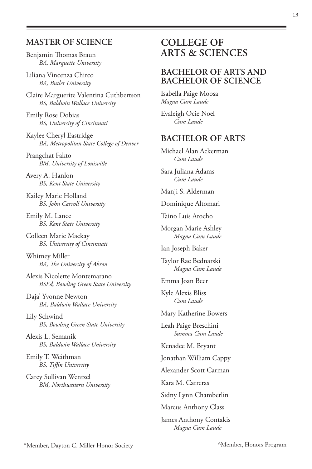#### **MASTER OF SCIENCE**

Benjamin Thomas Braun *BA, Marquette University*

Liliana Vincenza Chirco *BA, Butler University*

Claire Marguerite Valentina Cuthbertson *BS, Baldwin Wallace University*

Emily Rose Dobias *BS, University of Cincinnati*

Kaylee Cheryl Eastridge *BA, Metropolitan State College of Denver*

Prangchat Fakto *BM, University of Louisville*

Avery A. Hanlon *BS, Kent State University*

Kailey Marie Holland *BS, John Carroll University*

Emily M. Lance *BS, Kent State University*

Colleen Marie Mackay *BS, University of Cincinnati*

Whitney Miller *BA, The University of Akron*

Alexis Nicolette Montemarano *BSEd, Bowling Green State University*

Daja' Yvonne Newton *BA, Baldwin Wallace University*

Lily Schwind *BS, Bowling Green State University*

Alexis L. Semanik *BS, Baldwin Wallace University*

Emily T. Weithman *BS, Tiffin University*

Carey Sullivan Wentzel *BM, Northwestern University* 

# **COLLEGE OF ARTS & SCIENCES**

#### **BACHELOR OF ARTS AND BACHELOR OF SCIENCE**

Isabella Paige Moosa *Magna Cum Laude* 

Evaleigh Ocie Noel *Cum Laude*

#### **BACHELOR OF ARTS**

Michael Alan Ackerman *Cum Laude*

Sara Juliana Adams *Cum Laude*

Manji S. Alderman

Dominique Altomari

Taino Luis Arocho

Morgan Marie Ashley *Magna Cum Laude*

Ian Joseph Baker

Taylor Rae Bednarski *Magna Cum Laude*

Emma Joan Beer

Kyle Alexis Bliss *Cum Laude*

Mary Katherine Bowers

Leah Paige Breschini *Summa Cum Laude*

Kenadee M. Bryant

Jonathan William Cappy

Alexander Scott Carman

Kara M. Carreras

Sidny Lynn Chamberlin

Marcus Anthony Class

James Anthony Contakis *Magna Cum Laude*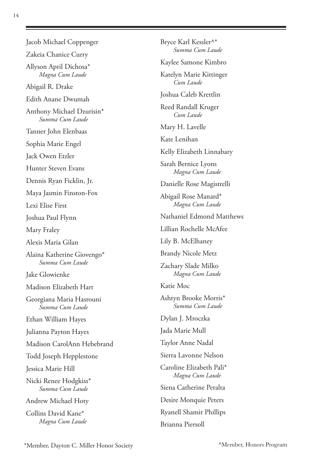Jacob Michael Coppenger Zakeia Chanice Curry Allyson April Dichosa\* *Magna Cum Laude* Abigail R. Drake Edith Anane Dwumah Anthony Michael Dzurisin\* *Summa Cum Laude* Tanner John Elenbaas Sophia Marie Engel Jack Owen Etzler Hunter Steven Evans Dennis Ryan Ficklin, Jr. Maya Jasmin Finston-Fox Lexi Elise First Joshua Paul Flynn Mary Fraley Alexis Maria Gilan Alaina Katherine Giovengo\* *Summa Cum Laude* Jake Glowienke Madison Elizabeth Hart Georgiana Maria Hasrouni *Summa Cum Laude* Ethan William Hayes Julianna Payton Hayes Madison CarolAnn Hebebrand Todd Joseph Hepplestone Jessica Marie Hill Nicki Renee Hodgkiss\* *Summa Cum Laude* Andrew Michael Hoty Collins David Kane\* *Magna Cum Laude*

Bryce Karl Kessler^\* *Summa Cum Laude* Kaylee Samone Kimbro Katelyn Marie Kittinger *Cum Laude* Joshua Caleb Krettlin Reed Randall Kruger *Cum Laude* Mary H. Lavelle Kate Lenihan Kelly Elizabeth Linnabary Sarah Bernice Lyons *Magna Cum Laude* Danielle Rose Magistrelli Abigail Rose Manard\* *Magna Cum Laude* Nathaniel Edmond Matthews Lillian Rochelle McAfee Lily B. McElhaney Brandy Nicole Metz Zachary Slade Milko *Magna Cum Laude* Katie Moc Ashtyn Brooke Morris\* *Summa Cum Laude* Dylan J. Mroczka Jada Marie Mull Taylor Anne Nadal Sierra Lavonne Nelson Caroline Elizabeth Pali\* *Magna Cum Laude* Siena Catherine Peralta Desire Monquie Peters Ryanell Shamir Phillips Brianna Piersoll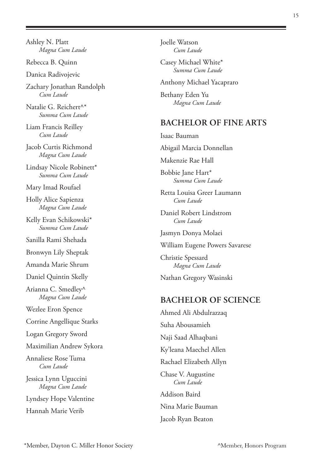Ashley N. Platt *Magna Cum Laude*

Rebecca B. Quinn

Danica Radivojevic

Zachary Jonathan Randolph *Cum Laude*

Natalie G. Reichert^\* *Summa Cum Laude*

Liam Francis Reilley *Cum Laude*

Jacob Curtis Richmond *Magna Cum Laude*

Lindsay Nicole Robinett\* *Summa Cum Laude*

Mary Imad Roufael

Holly Alice Sapienza *Magna Cum Laude*

Kelly Evan Schikowski\* *Summa Cum Laude*

Sanilla Rami Shehada

Bronwyn Lily Sheptak

Amanda Marie Shrum

Daniel Quintin Skelly

Arianna C. Smedley^ *Magna Cum Laude*

Wezlee Eron Spence

Corrine Angellique Starks

Logan Gregory Sword

Maximilian Andrew Sykora

Annaliese Rose Tuma *Cum Laude*

Jessica Lynn Uguccini *Magna Cum Laude*

Lyndsey Hope Valentine Hannah Marie Verib

Joelle Watson *Cum Laude*

Casey Michael White\* *Summa Cum Laude*

Anthony Michael Yacapraro

Bethany Eden Yu *Magna Cum Laude*

#### **BACHELOR OF FINE ARTS**

Isaac Bauman Abigail Marcia Donnellan Makenzie Rae Hall Bobbie Jane Hart\* *Summa Cum Laude* Retta Louisa Greer Laumann *Cum Laude* Daniel Robert Lindstrom *Cum Laude*

Jasmyn Donya Molaei

William Eugene Powers Savarese

Christie Spessard *Magna Cum Laude*

Nathan Gregory Wasinski

#### **BACHELOR OF SCIENCE**

Ahmed Ali Abdulrazzaq Suha Abousamieh Naji Saad Alhaqbani Ky'leana Maechel Allen Rachael Elizabeth Allyn Chase V. Augustine *Cum Laude* Addison Baird Nina Marie Bauman Jacob Ryan Beaton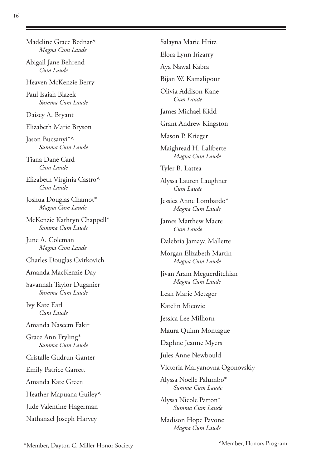Madeline Grace Bednar^ *Magna Cum Laude*

Abigail Jane Behrend *Cum Laude*

Heaven McKenzie Berry

Paul Isaiah Blazek *Summa Cum Laude*

Daisey A. Bryant

Elizabeth Marie Bryson

Jason Bucsanyi\*^ *Summa Cum Laude*

Tiana Dané Card *Cum Laude*

Elizabeth Virginia Castro^ *Cum Laude*

Joshua Douglas Chamot\* *Magna Cum Laude*

McKenzie Kathryn Chappell\* *Summa Cum Laude*

June A. Coleman *Magna Cum Laude*

Charles Douglas Cvitkovich

Amanda MacKenzie Day

Savannah Taylor Duganier *Summa Cum Laude*

Ivy Kate Earl *Cum Laude*

Amanda Naseem Fakir

Grace Ann Fryling\* *Summa Cum Laude*

Cristalle Gudrun Ganter

Emily Patrice Garrett

Amanda Kate Green

Heather Mapuana Guiley^

Jude Valentine Hagerman

Nathanael Joseph Harvey

Salayna Marie Hritz Elora Lynn Irizarry Aya Nawal Kabra Bijan W. Kamalipour Olivia Addison Kane *Cum Laude* James Michael Kidd Grant Andrew Kingston Mason P. Krieger Maighread H. Laliberte *Magna Cum Laude* Tyler B. Lattea Alyssa Lauren Laughner *Cum Laude* Jessica Anne Lombardo\* *Magna Cum Laude* James Matthew Macre *Cum Laude* Dalebria Jamaya Mallette Morgan Elizabeth Martin *Magna Cum Laude* Jivan Aram Meguerditchian *Magna Cum Laude* Leah Marie Metzger Katelin Micovic Jessica Lee Milhorn Maura Quinn Montague Daphne Jeanne Myers Jules Anne Newbould Victoria Maryanovna Ogonovskiy Alyssa Noelle Palumbo\* *Summa Cum Laude* Alyssa Nicole Patton\* *Summa Cum Laude*

Madison Hope Pavone *Magna Cum Laude*

^Member, Honors Program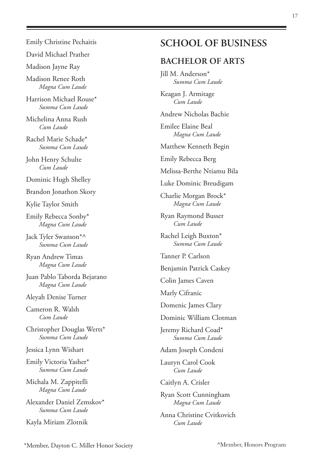#### Emily Christine Pechaitis

David Michael Prather

Madison Jayne Ray

Madison Renee Roth *Magna Cum Laude*

Harrison Michael Rouse\* *Summa Cum Laude*

Michelina Anna Rush *Cum Laude*

Rachel Marie Schade\* *Summa Cum Laude*

John Henry Schulte *Cum Laude*

Dominic Hugh Shelley

Brandon Jonathon Skory

Kylie Taylor Smith

Emily Rebecca Sonby\* *Magna Cum Laude*

Jack Tyler Swanson\*^ *Summa Cum Laude*

Ryan Andrew Timas *Magna Cum Laude*

Juan Pablo Taborda Bejarano *Magna Cum Laude* 

Aleyah Denise Turner

Cameron R. Walsh *Cum Laude*

Christopher Douglas Werts\* *Summa Cum Laude*

Jessica Lynn Wishart

Emily Victoria Yasher\* *Summa Cum Laude*

Michala M. Zappitelli *Magna Cum Laude*

Alexander Daniel Zemskov\* *Summa Cum Laude*

Kayla Miriam Zlotnik

# **SCHOOL OF BUSINESS**

#### **BACHELOR OF ARTS**

Jill M. Anderson\* *Summa Cum Laude*

Keagan J. Armitage *Cum Laude*

Andrew Nicholas Bachie

Emilee Elaine Beal *Magna Cum Laude*

Matthew Kenneth Begin

Emily Rebecca Berg

Melissa-Berthe Ntiamu Bila

Luke Dominic Breudigam

Charlie Morgan Brock\* *Magna Cum Laude*

Ryan Raymond Busser *Cum Laude*

Rachel Leigh Buxton\* *Summa Cum Laude*

Tanner P. Carlson

Benjamin Patrick Caskey

Colin James Caven

Marly Cifranic

Domenic James Clary

Dominic William Clotman

Jeremy Richard Coad\* *Summa Cum Laude*

Adam Joseph Condeni

Lauryn Carol Cook *Cum Laude*

Caitlyn A. Crisler

Ryan Scott Cunningham *Magna Cum Laude*

Anna Christine Cvitkovich *Cum Laude*

\*Member, Dayton C. Miller Honor Society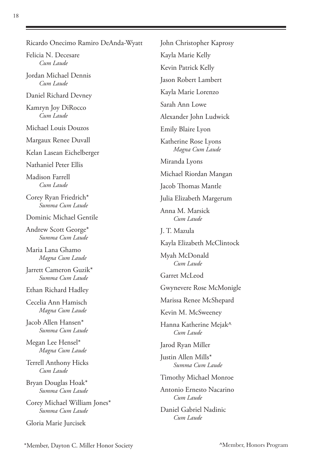| Ricardo Onecimo Ramiro DeAnda-Wyatt             |
|-------------------------------------------------|
| Felicia N. Decesare<br>Cum Laude                |
| Jordan Michael Dennis<br>Cum Laude              |
| Daniel Richard Devney                           |
| Kamryn Joy DiRocco<br>Cum Laude                 |
| Michael Louis Douzos                            |
| Margaux Renee Duvall                            |
| Kelan Lasean Eichelberger                       |
| Nathaniel Peter Ellis                           |
| Madison Farrell<br>Cum Laude                    |
| Corey Ryan Friedrich*<br>Summa Cum Laude        |
| Dominic Michael Gentile                         |
| Andrew Scott George*<br>Summa Cum Laude         |
| Maria Lana Ghamo<br>Magna Cum Laude             |
| Jarrett Cameron Guzik*<br>Summa Cum Laude       |
| Ethan Richard Hadley                            |
| Cecelia Ann Hamisch<br>Magna Cum Laude          |
| Jacob Allen Hansen*<br>Summa Cum Laude          |
| Megan Lee Hensel*<br>Magna Cum Laude            |
| Terrell Anthony Hicks<br>Cum Laude              |
| Bryan Douglas Hoak*<br>Summa Cum Laude          |
| Corey Michael William Jones*<br>Summa Cum Laude |
| Gloria Marie Jurcisek                           |

John Christopher Kaprosy Kayla Marie Kelly Kevin Patrick Kelly Jason Robert Lambert Kayla Marie Lorenzo Sarah Ann Lowe Alexander John Ludwick Emily Blaire Lyon Katherine Rose Lyons *Magna Cum Laude* Miranda Lyons Michael Riordan Mangan Jacob Thomas Mantle Julia Elizabeth Margerum Anna M. Marsick *Cum Laude* J. T. Mazula Kayla Elizabeth McClintock Myah McDonald *Cum Laude* Garret McLeod Gwynevere Rose McMonigle Marissa Renee McShepard Kevin M. McSweeney Hanna Katherine Mejak^ *Cum Laude* Jarod Ryan Miller Justin Allen Mills\* *Summa Cum Laude* Timothy Michael Monroe Antonio Ernesto Nacarino *Cum Laude* Daniel Gabriel Nadinic *Cum Laude*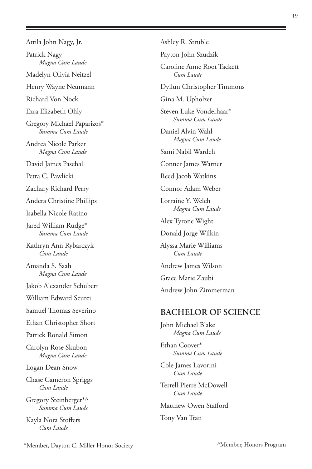Attila John Nagy, Jr. Patrick Nagy *Magna Cum Laude* Madelyn Olivia Neitzel Henry Wayne Neumann Richard Von Nock Ezra Elizabeth Ohly Gregory Michael Paparizos\* *Summa Cum Laude* Andrea Nicole Parker *Magna Cum Laude* David James Paschal Petra C. Pawlicki Zachary Richard Perry Andera Christine Phillips Isabella Nicole Ratino Jared William Rudge\* *Summa Cum Laude* Kathryn Ann Rybarczyk *Cum Laude* Amanda S. Saah *Magna Cum Laude* Jakob Alexander Schubert William Edward Scurci Samuel Thomas Severino Ethan Christopher Short Patrick Ronald Simon Carolyn Rose Skubon *Magna Cum Laude* Logan Dean Snow Chase Cameron Spriggs *Cum Laude* Gregory Steinberger\*^ *Summa Cum Laude*

Kayla Nora Stoffers *Cum Laude*

Ashley R. Struble Payton John Szudzik Caroline Anne Root Tackett *Cum Laude* Dyllun Christopher Timmons Gina M. Upholzer Steven Luke Vonderhaar\* *Summa Cum Laude* Daniel Alvin Wahl *Magna Cum Laude* Sami Nabil Wardeh Conner James Warner Reed Jacob Watkins Connor Adam Weber Lorraine Y. Welch *Magna Cum Laude* Alex Tyrone Wight Donald Jorge Wilkin Alyssa Marie Williams *Cum Laude* Andrew James Wilson Grace Marie Zaubi Andrew John Zimmerman **BACHELOR OF SCIENCE**

John Michael Blake *Magna Cum Laude*

Ethan Coover\* *Summa Cum Laude*

Cole James Lavorini *Cum Laude*

Terrell Pierre McDowell *Cum Laude*

Matthew Owen Stafford

#### Tony Van Tran

\*Member, Dayton C. Miller Honor Society

^Member, Honors Program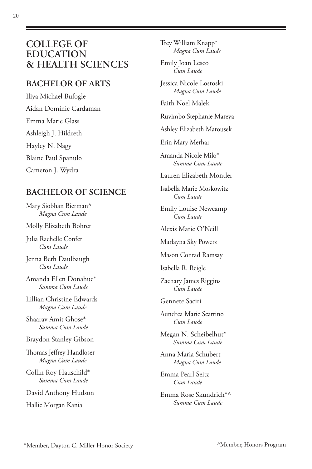# **COLLEGE OF EDUCATION & HEALTH SCIENCES**

### **BACHELOR OF ARTS**

Iliya Michael Bufogle Aidan Dominic Cardaman Emma Marie Glass Ashleigh J. Hildreth Hayley N. Nagy Blaine Paul Spanulo Cameron J. Wydra

## **BACHELOR OF SCIENCE**

Mary Siobhan Bierman^ *Magna Cum Laude*

Molly Elizabeth Bohrer

Julia Rachelle Confer *Cum Laude*

Jenna Beth Daulbaugh *Cum Laude*

Amanda Ellen Donahue\* *Summa Cum Laude*

Lillian Christine Edwards *Magna Cum Laude*

Shaarav Amit Ghose\* *Summa Cum Laude*

Braydon Stanley Gibson

Thomas Jeffrey Handloser *Magna Cum Laude*

Collin Roy Hauschild\* *Summa Cum Laude*

David Anthony Hudson

Hallie Morgan Kania

Trey William Knapp\* *Magna Cum Laude*

Emily Joan Lesco *Cum Laude*

Jessica Nicole Lostoski *Magna Cum Laude*

Faith Noel Malek

Ruvimbo Stephanie Mareya

Ashley Elizabeth Matousek

Erin Mary Merhar

Amanda Nicole Milo\* *Summa Cum Laude*

Lauren Elizabeth Montler

Isabella Marie Moskowitz *Cum Laude*

Emily Louise Newcamp *Cum Laude*

Alexis Marie O'Neill

Marlayna Sky Powers

Mason Conrad Ramsay

Isabella R. Reigle

Zachary James Riggins *Cum Laude*

Gennete Saciri

Aundrea Marie Scattino *Cum Laude*

Megan N. Scheibelhut\* *Summa Cum Laude*

Anna Maria Schubert *Magna Cum Laude*

Emma Pearl Seitz *Cum Laude*

Emma Rose Skundrich\*^ *Summa Cum Laude*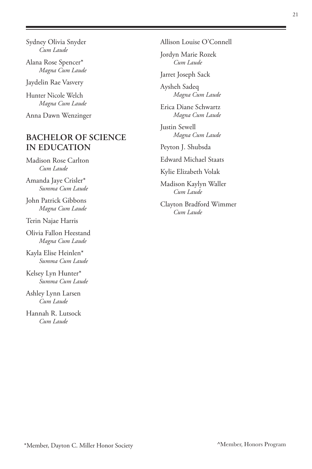Alana Rose Spencer\* *Magna Cum Laude*

Jaydelin Rae Vasvery

Hunter Nicole Welch *Magna Cum Laude*

Anna Dawn Wenzinger

# **BACHELOR OF SCIENCE IN EDUCATION**

Madison Rose Carlton *Cum Laude*

Amanda Jaye Crisler\* *Summa Cum Laude*

John Patrick Gibbons *Magna Cum Laude*

Terin Najae Harris

Olivia Fallon Heestand *Magna Cum Laude*

Kayla Elise Heinlen\* *Summa Cum Laude*

Kelsey Lyn Hunter\* *Summa Cum Laude*

Ashley Lynn Larsen *Cum Laude*

Hannah R. Lutsock *Cum Laude*

Allison Louise O'Connell

Jordyn Marie Rozek *Cum Laude*

Jarret Joseph Sack

Aysheh Sadeq *Magna Cum Laude*

Erica Diane Schwartz *Magna Cum Laude*

Justin Sewell *Magna Cum Laude*

Peyton J. Shubsda

Edward Michael Staats

Kylie Elizabeth Volak

Madison Kaylyn Waller *Cum Laude*

Clayton Bradford Wimmer *Cum Laude*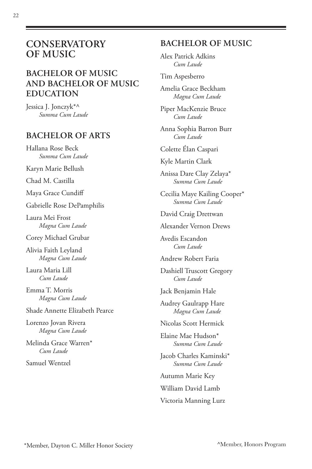# **CONSERVATORY OF MUSIC**

# **BACHELOR OF MUSIC AND BACHELOR OF MUSIC EDUCATION**

Jessica J. Jonczyk\*^ *Summa Cum Laude*

#### **BACHELOR OF ARTS**

Hallana Rose Beck *Summa Cum Laude*

Karyn Marie Bellush

Chad M. Castilla

Maya Grace Cundiff

Gabrielle Rose DePamphilis

Laura Mei Frost *Magna Cum Laude*

Corey Michael Grubar

Alivia Faith Leyland *Magna Cum Laude*

Laura Maria Lill *Cum Laude*

Emma T. Morris *Magna Cum Laude*

Shade Annette Elizabeth Pearce

Lorenzo Jovan Rivera *Magna Cum Laude*

Melinda Grace Warren\* *Cum Laude*

Samuel Wentzel

# **BACHELOR OF MUSIC**

Alex Patrick Adkins *Cum Laude*

#### Tim Aspesberro

Amelia Grace Beckham *Magna Cum Laude*

Piper MacKenzie Bruce *Cum Laude*

Anna Sophia Barron Burr *Cum Laude*

Colette Élan Caspari

Kyle Martin Clark

Anissa Dare Clay Zelaya\* *Summa Cum Laude*

Cecilia Maye Kailing Cooper\* *Summa Cum Laude*

David Craig Drettwan

Alexander Vernon Drews

Avedis Escandon *Cum Laude*

Andrew Robert Faria

Dashiell Truscott Gregory *Cum Laude*

Jack Benjamin Hale

Audrey Gaulrapp Hare *Magna Cum Laude*

Nicolas Scott Hermick

Elaine Mae Hudson\* *Summa Cum Laude*

Jacob Charles Kaminski\* *Summa Cum Laude*

Autumn Marie Key

William David Lamb

Victoria Manning Lurz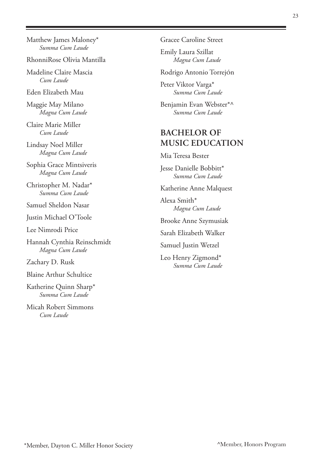Matthew James Maloney\* *Summa Cum Laude*

RhonniRose Olivia Mantilla

Madeline Claire Mascia *Cum Laude*

Eden Elizabeth Mau

Maggie May Milano *Magna Cum Laude*

Claire Marie Miller *Cum Laude*

Lindsay Noel Miller *Magna Cum Laude*

Sophia Grace Mintsiveris *Magna Cum Laude*

Christopher M. Nadar\* *Summa Cum Laude*

Samuel Sheldon Nasar

Justin Michael O'Toole

Lee Nimrodi Price

Hannah Cynthia Reinschmidt *Magna Cum Laude*

Zachary D. Rusk

Blaine Arthur Schultice

Katherine Quinn Sharp\* *Summa Cum Laude*

Micah Robert Simmons *Cum Laude*

Gracee Caroline Street

Emily Laura Szillat *Magna Cum Laude*

Rodrigo Antonio TorrejÓn

Peter Viktor Varga\* *Summa Cum Laude*

Benjamin Evan Webster\*^ *Summa Cum Laude*

### **BACHELOR OF MUSIC EDUCATION**

Mia Teresa Bester

Jesse Danielle Bobbitt\* *Summa Cum Laude*

Katherine Anne Malquest

Alexa Smith\* *Magna Cum Laude*

Brooke Anne Szymusiak

Sarah Elizabeth Walker

Samuel Justin Wetzel

Leo Henry Zigmond\* *Summa Cum Laude*